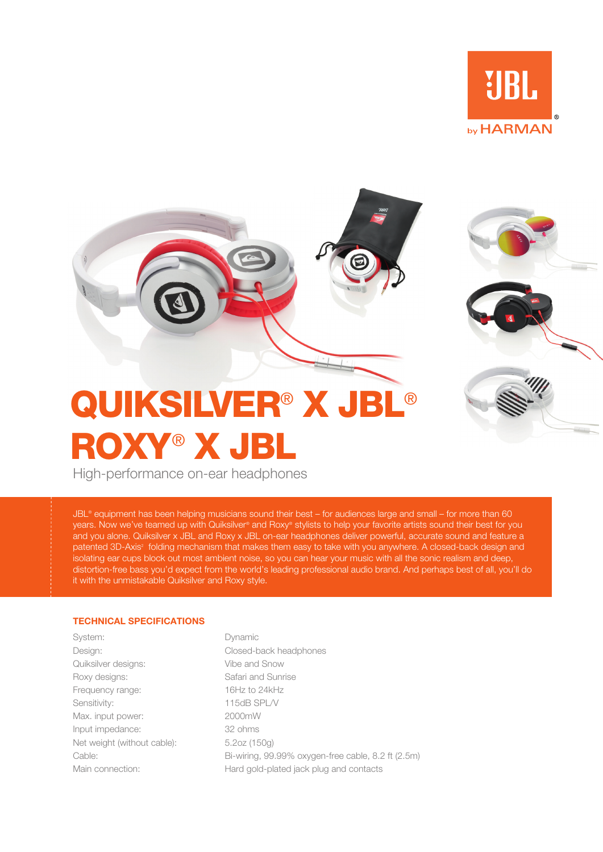



## ROXY® X JBL

High-performance on-ear headphones

JBL® equipment has been helping musicians sound their best – for audiences large and small – for more than 60 years. Now we've teamed up with Quiksilver® and Roxy® stylists to help your favorite artists sound their best for you and you alone. Quiksilver x JBL and Roxy x JBL on-ear headphones deliver powerful, accurate sound and feature a patented 3D-Axis<sup>2</sup> folding mechanism that makes them easy to take with you anywhere. A closed-back design and isolating ear cups block out most ambient noise, so you can hear your music with all the sonic realism and deep, distortion-free bass you'd expect from the world's leading professional audio brand. And perhaps best of all, you'll do it with the unmistakable Quiksilver and Roxy style.

## **TECHNICAL SPECIFICATIONS**

System: Dynamic Quiksilver designs: Vibe and Snow Roxy designs: Safari and Sunrise Frequency range: 16Hz to 24kHz Sensitivity: 115dB SPL/V Max. input power: 2000mW Input impedance: 32 ohms Net weight (without cable): 5.2oz (150g)

Design: Closed-back headphones Cable: Bi-wiring, 99.99% oxygen-free cable, 8.2 ft (2.5m) Main connection: Hard gold-plated jack plug and contacts